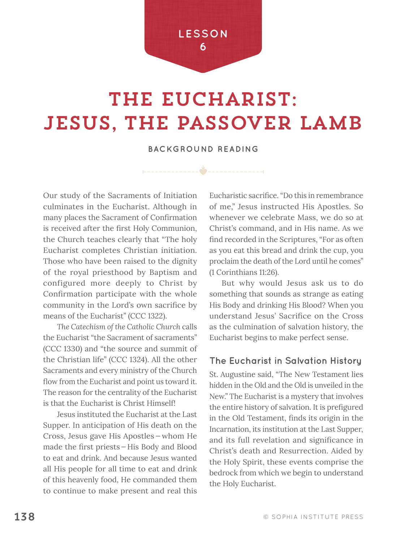

## THE EUCHARIST: JESUS, THE PASSOVER LAMB

**BACKGROUND READING**

Our study of the Sacraments of Initiation culminates in the Eucharist. Although in many places the Sacrament of Confirmation is received after the first Holy Communion, the Church teaches clearly that "The holy Eucharist completes Christian initiation. Those who have been raised to the dignity of the royal priesthood by Baptism and configured more deeply to Christ by Confirmation participate with the whole community in the Lord's own sacrifice by means of the Eucharist" (CCC 1322).

*The Catechism of the Catholic Church* calls the Eucharist "the Sacrament of sacraments" (CCC 1330) and "the source and summit of the Christian life" (CCC 1324). All the other Sacraments and every ministry of the Church flow from the Eucharist and point us toward it. The reason for the centrality of the Eucharist is that the Eucharist is Christ Himself!

 Jesus instituted the Eucharist at the Last Supper. In anticipation of His death on the Cross, Jesus gave His Apostles — whom He made the first priests—His Body and Blood to eat and drink. And because Jesus wanted all His people for all time to eat and drink of this heavenly food, He commanded them to continue to make present and real this Eucharistic sacrifice. "Do this in remembrance of me," Jesus instructed His Apostles. So whenever we celebrate Mass, we do so at Christ's command, and in His name. As we find recorded in the Scriptures, "For as often as you eat this bread and drink the cup, you proclaim the death of the Lord until he comes" (1 Corinthians 11:26).

But why would Jesus ask us to do something that sounds as strange as eating His Body and drinking His Blood? When you understand Jesus' Sacrifice on the Cross as the culmination of salvation history, the Eucharist begins to make perfect sense.

#### **The Eucharist in Salvation History**

St. Augustine said, "The New Testament lies hidden in the Old and the Old is unveiled in the New." The Eucharist is a mystery that involves the entire history of salvation. It is prefigured in the Old Testament, finds its origin in the Incarnation, its institution at the Last Supper, and its full revelation and significance in Christ's death and Resurrection. Aided by the Holy Spirit, these events comprise the bedrock from which we begin to understand the Holy Eucharist.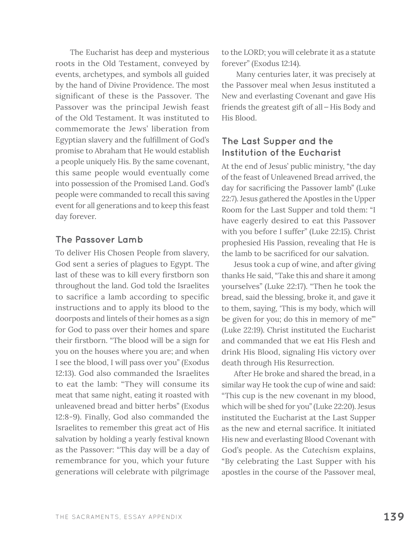The Eucharist has deep and mysterious roots in the Old Testament, conveyed by events, archetypes, and symbols all guided by the hand of Divine Providence. The most significant of these is the Passover. The Passover was the principal Jewish feast of the Old Testament. It was instituted to commemorate the Jews' liberation from Egyptian slavery and the fulfillment of God's promise to Abraham that He would establish a people uniquely His. By the same covenant, this same people would eventually come into possession of the Promised Land. God's people were commanded to recall this saving event for all generations and to keep this feast day forever.

#### **The Passover Lamb**

To deliver His Chosen People from slavery, God sent a series of plagues to Egypt. The last of these was to kill every firstborn son throughout the land. God told the Israelites to sacrifice a lamb according to specific instructions and to apply its blood to the doorposts and lintels of their homes as a sign for God to pass over their homes and spare their firstborn. "The blood will be a sign for you on the houses where you are; and when I see the blood, I will pass over you" (Exodus 12:13). God also commanded the Israelites to eat the lamb: "They will consume its meat that same night, eating it roasted with unleavened bread and bitter herbs" (Exodus 12:8-9). Finally, God also commanded the Israelites to remember this great act of His salvation by holding a yearly festival known as the Passover: "This day will be a day of remembrance for you, which your future generations will celebrate with pilgrimage

to the LORD; you will celebrate it as a statute forever" (Exodus 12:14).

 Many centuries later, it was precisely at the Passover meal when Jesus instituted a New and everlasting Covenant and gave His friends the greatest gift of all—His Body and His Blood.

### **The Last Supper and the Institution of the Eucharist**

At the end of Jesus' public ministry, "the day of the feast of Unleavened Bread arrived, the day for sacrificing the Passover lamb" (Luke 22:7). Jesus gathered the Apostles in the Upper Room for the Last Supper and told them: "I have eagerly desired to eat this Passover with you before I suffer" (Luke 22:15). Christ prophesied His Passion, revealing that He is the lamb to be sacrificed for our salvation.

Jesus took a cup of wine, and after giving thanks He said, "Take this and share it among yourselves" (Luke 22:17). "Then he took the bread, said the blessing, broke it, and gave it to them, saying, 'This is my body, which will be given for you; do this in memory of me'" (Luke 22:19). Christ instituted the Eucharist and commanded that we eat His Flesh and drink His Blood, signaling His victory over death through His Resurrection.

After He broke and shared the bread, in a similar way He took the cup of wine and said: "This cup is the new covenant in my blood, which will be shed for you" (Luke 22:20). Jesus instituted the Eucharist at the Last Supper as the new and eternal sacrifice. It initiated His new and everlasting Blood Covenant with God's people. As the *Catechism* explains, "By celebrating the Last Supper with his apostles in the course of the Passover meal,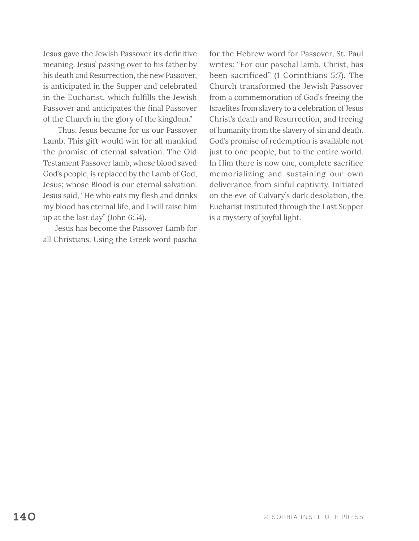Jesus gave the Jewish Passover its definitive meaning. Jesus' passing over to his father by his death and Resurrection, the new Passover, is anticipated in the Supper and celebrated in the Eucharist, which fulfills the Jewish Passover and anticipates the final Passover of the Church in the glory of the kingdom."

 Thus, Jesus became for us our Passover Lamb. This gift would win for all mankind the promise of eternal salvation. The Old Testament Passover lamb, whose blood saved God's people, is replaced by the Lamb of God, Jesus; whose Blood is our eternal salvation. Jesus said, "He who eats my flesh and drinks my blood has eternal life, and I will raise him up at the last day" (John 6:54).

Jesus has become the Passover Lamb for all Christians. Using the Greek word *pascha*

for the Hebrew word for Passover, St. Paul writes: "For our paschal lamb, Christ, has been sacrificed" (1 Corinthians 5:7). The Church transformed the Jewish Passover from a commemoration of God's freeing the Israelites from slavery to a celebration of Jesus Christ's death and Resurrection, and freeing of humanity from the slavery of sin and death. God's promise of redemption is available not just to one people, but to the entire world. In Him there is now one, complete sacrifice memorializing and sustaining our own deliverance from sinful captivity. Initiated on the eve of Calvary's dark desolation, the Eucharist instituted through the Last Supper is a mystery of joyful light.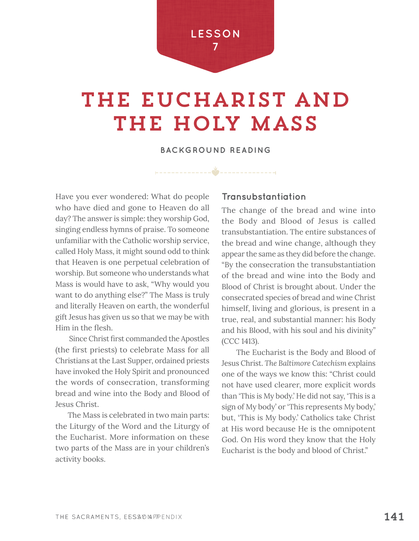

# THE EUCHARIST AND THE HOLY MASS

**BACKGROUND READING**

Have you ever wondered: What do people who have died and gone to Heaven do all day? The answer is simple: they worship God, singing endless hymns of praise. To someone unfamiliar with the Catholic worship service, called Holy Mass, it might sound odd to think that Heaven is one perpetual celebration of worship. But someone who understands what Mass is would have to ask, "Why would you want to do anything else?" The Mass is truly and literally Heaven on earth, the wonderful gift Jesus has given us so that we may be with Him in the flesh.

 Since Christ first commanded the Apostles (the first priests) to celebrate Mass for all Christians at the Last Supper, ordained priests have invoked the Holy Spirit and pronounced the words of consecration, transforming bread and wine into the Body and Blood of Jesus Christ.

The Mass is celebrated in two main parts: the Liturgy of the Word and the Liturgy of the Eucharist. More information on these two parts of the Mass are in your children's activity books.

#### **Transubstantiation**

The change of the bread and wine into the Body and Blood of Jesus is called transubstantiation. The entire substances of the bread and wine change, although they appear the same as they did before the change. "By the consecration the transubstantiation of the bread and wine into the Body and Blood of Christ is brought about. Under the consecrated species of bread and wine Christ himself, living and glorious, is present in a true, real, and substantial manner: his Body and his Blood, with his soul and his divinity" (CCC 1413).

 The Eucharist is the Body and Blood of Jesus Christ. *The Baltimore Catechism* explains one of the ways we know this: "Christ could not have used clearer, more explicit words than 'This is My body.' He did not say, 'This is a sign of My body' or 'This represents My body,' but, 'This is My body.' Catholics take Christ at His word because He is the omnipotent God. On His word they know that the Holy Eucharist is the body and blood of Christ."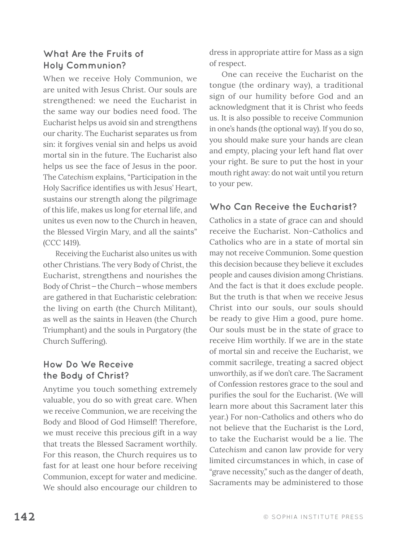## **What Are the Fruits of Holy Communion?**

When we receive Holy Communion, we are united with Jesus Christ. Our souls are strengthened: we need the Eucharist in the same way our bodies need food. The Eucharist helps us avoid sin and strengthens our charity. The Eucharist separates us from sin: it forgives venial sin and helps us avoid mortal sin in the future. The Eucharist also helps us see the face of Jesus in the poor. The *Catechism* explains, "Participation in the Holy Sacrifice identifies us with Jesus' Heart, sustains our strength along the pilgrimage of this life, makes us long for eternal life, and unites us even now to the Church in heaven, the Blessed Virgin Mary, and all the saints" (CCC 1419).

Receiving the Eucharist also unites us with other Christians. The very Body of Christ, the Eucharist, strengthens and nourishes the Body of Christ—the Church—whose members are gathered in that Eucharistic celebration: the living on earth (the Church Militant), as well as the saints in Heaven (the Church Triumphant) and the souls in Purgatory (the Church Suffering).

## **How Do We Receive the Body of Christ?**

Anytime you touch something extremely valuable, you do so with great care. When we receive Communion, we are receiving the Body and Blood of God Himself! Therefore, we must receive this precious gift in a way that treats the Blessed Sacrament worthily. For this reason, the Church requires us to fast for at least one hour before receiving Communion, except for water and medicine. We should also encourage our children to dress in appropriate attire for Mass as a sign of respect.

One can receive the Eucharist on the tongue (the ordinary way), a traditional sign of our humility before God and an acknowledgment that it is Christ who feeds us. It is also possible to receive Communion in one's hands (the optional way). If you do so, you should make sure your hands are clean and empty, placing your left hand flat over your right. Be sure to put the host in your mouth right away: do not wait until you return to your pew.

## **Who Can Receive the Eucharist?**

Catholics in a state of grace can and should receive the Eucharist. Non-Catholics and Catholics who are in a state of mortal sin may not receive Communion. Some question this decision because they believe it excludes people and causes division among Christians. And the fact is that it does exclude people. But the truth is that when we receive Jesus Christ into our souls, our souls should be ready to give Him a good, pure home. Our souls must be in the state of grace to receive Him worthily. If we are in the state of mortal sin and receive the Eucharist, we commit sacrilege, treating a sacred object unworthily, as if we don't care. The Sacrament of Confession restores grace to the soul and purifies the soul for the Eucharist. (We will learn more about this Sacrament later this year.) For non-Catholics and others who do not believe that the Eucharist is the Lord, to take the Eucharist would be a lie. The *Catechism* and canon law provide for very limited circumstances in which, in case of "grave necessity," such as the danger of death, Sacraments may be administered to those